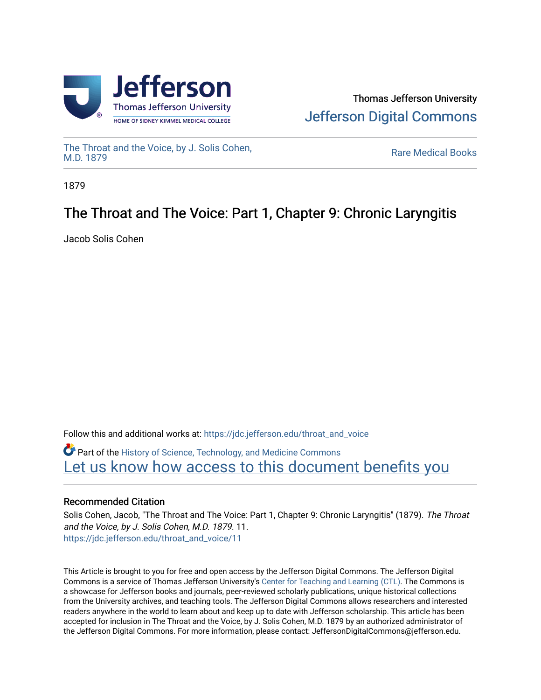



[The Throat and the Voice, by J. Solis Cohen,](https://jdc.jefferson.edu/throat_and_voice)

**Rare Medical Books** 

1879

# The Throat and The Voice: Part 1, Chapter 9: Chronic Laryngitis

Jacob Solis Cohen

Follow this and additional works at: [https://jdc.jefferson.edu/throat\\_and\\_voice](https://jdc.jefferson.edu/throat_and_voice?utm_source=jdc.jefferson.edu%2Fthroat_and_voice%2F11&utm_medium=PDF&utm_campaign=PDFCoverPages) **P** Part of the History of Science, Technology, and Medicine Commons Let us know how access to this document benefits you

## Recommended Citation

Solis Cohen, Jacob, "The Throat and The Voice: Part 1, Chapter 9: Chronic Laryngitis" (1879). The Throat and the Voice, by J. Solis Cohen, M.D. 1879. 11. [https://jdc.jefferson.edu/throat\\_and\\_voice/11](https://jdc.jefferson.edu/throat_and_voice/11?utm_source=jdc.jefferson.edu%2Fthroat_and_voice%2F11&utm_medium=PDF&utm_campaign=PDFCoverPages) 

This Article is brought to you for free and open access by the Jefferson Digital Commons. The Jefferson Digital Commons is a service of Thomas Jefferson University's [Center for Teaching and Learning \(CTL\)](http://www.jefferson.edu/university/teaching-learning.html/). The Commons is a showcase for Jefferson books and journals, peer-reviewed scholarly publications, unique historical collections from the University archives, and teaching tools. The Jefferson Digital Commons allows researchers and interested readers anywhere in the world to learn about and keep up to date with Jefferson scholarship. This article has been accepted for inclusion in The Throat and the Voice, by J. Solis Cohen, M.D. 1879 by an authorized administrator of the Jefferson Digital Commons. For more information, please contact: JeffersonDigitalCommons@jefferson.edu.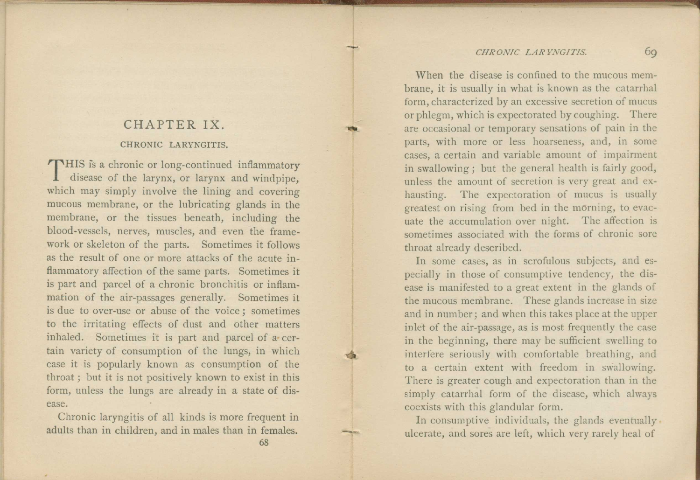### *CHRONIC LARYNGITIS.* 69

### CHAPTER IX. CHRONIC LARYNGITIS.

THIS is a chronic or long-continued inflammatory<br>disease of the larynx, or larynx and windpipe, disease of the larynx, or larynx and windpipe, which may simply involve the lining and covering mucous membrane, or the lubricating glands in the membrane, or the tissues beneath, including the blood-vessels, nerves, muscles, and even the framework or skeleton of the parts. Sometimes it follows as the result of one or more attacks of the acute inflammatory affection of the same parts. Sometimes it is part and parcel of a chronic bronchitis or inflammation of the air-passages generally. Sometimes it is due to over-use or abuse of the voice ; sometimes to the irritating effects of dust and other matters inhaled. Sometimes it is part and parcel of a• certain variety of consumption of the lungs, in which case it is popularly known as consumption of the throat ; but it is not positively known to exist in this form, unless the lungs are already in a state of disease.

Chronic laryngitis of all kinds is more frequent in adults than in children, and in males than in females.

68

vat

When the disease is confined to the mucous membrane, it is usually in what is known as the catarrhal form, characterized by an excessive secretion of mucus or phlegm, which is expectorated by coughing. There are occasional or temporary sensations of pain in the parts, with more or less hoarseness, and, in some cases, a certain and variable amount of impairment in swallowing ; but the general health is fairly good, unless the amount of secretion is very great and exhausting. The expectoration of mucus is usually greatest on rising from bed in the morning, to evacuate the accumulation over night. The affection is sometimes associated with the forms of chronic sore throat already described.

In some cases, as in scrofulous subjects, and especially in those of consumptive tendency, the disease is manifested to a great extent in the glands of the mucous membrane. These glands increase in size and in number; and when this takes place at the upper inlet of the air-passage, as is most frequently the case in the beginning, there may be sufficient swelling to interfere seriously with comfortable breathing, and to a certain extent with freedom in swallowing. There is greater cough and expectoration than in the simply catarrhal form of the disease, which always coexists with this glandular form.

In consumptive individuals, the glands eventually. ulcerate, and sores are left, which very rarely heal of